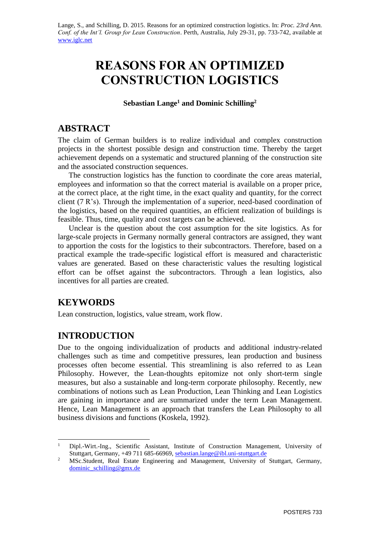Lange, S., and Schilling, D. 2015. Reasons for an optimized construction logistics. In: *Proc. 23rd Ann. Conf. of the Int'l. Group for Lean Construction*. Perth, Australia, July 29-31, pp. 733-742, available at [www.iglc.net](http://www.iglc.net/)

# **REASONS FOR AN OPTIMIZED CONSTRUCTION LOGISTICS**

**Sebastian Lange<sup>1</sup> and Dominic Schilling<sup>2</sup>**

#### **ABSTRACT**

The claim of German builders is to realize individual and complex construction projects in the shortest possible design and construction time. Thereby the target achievement depends on a systematic and structured planning of the construction site and the associated construction sequences.

The construction logistics has the function to coordinate the core areas material, employees and information so that the correct material is available on a proper price, at the correct place, at the right time, in the exact quality and quantity, for the correct client (7 R's). Through the implementation of a superior, need-based coordination of the logistics, based on the required quantities, an efficient realization of buildings is feasible. Thus, time, quality and cost targets can be achieved.

Unclear is the question about the cost assumption for the site logistics. As for large-scale projects in Germany normally general contractors are assigned, they want to apportion the costs for the logistics to their subcontractors. Therefore, based on a practical example the trade-specific logistical effort is measured and characteristic values are generated. Based on these characteristic values the resulting logistical effort can be offset against the subcontractors. Through a lean logistics, also incentives for all parties are created.

### **KEYWORDS**

1

Lean construction, logistics, value stream, work flow.

### **INTRODUCTION**

Due to the ongoing individualization of products and additional industry-related challenges such as time and competitive pressures, lean production and business processes often become essential. This streamlining is also referred to as Lean Philosophy. However, the Lean-thoughts epitomize not only short-term single measures, but also a sustainable and long-term corporate philosophy. Recently, new combinations of notions such as Lean Production, Lean Thinking and Lean Logistics are gaining in importance and are summarized under the term Lean Management. Hence, Lean Management is an approach that transfers the Lean Philosophy to all business divisions and functions (Koskela, 1992).

<sup>&</sup>lt;sup>1</sup> Dipl.-Wirt.-Ing., Scientific Assistant, Institute of Construction Management, University of Stuttgart, Germany, +49 711 685-66969, [sebastian.](mailto:tommelein@ce.berkeley.edu)lange@ibl.uni-stuttgart.de

<sup>&</sup>lt;sup>2</sup> MSc.Student, Real Estate Engineering and Management, University of Stuttgart, Germany, [dominic\\_schilling@gmx.de](mailto:dominic_schilling@gmx.de)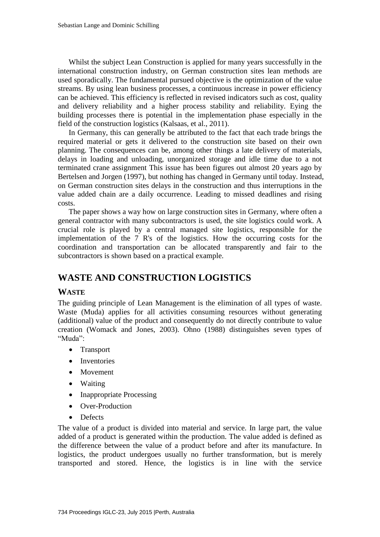Whilst the subject Lean Construction is applied for many years successfully in the international construction industry, on German construction sites lean methods are used sporadically. The fundamental pursued objective is the optimization of the value streams. By using lean business processes, a continuous increase in power efficiency can be achieved. This efficiency is reflected in revised indicators such as cost, quality and delivery reliability and a higher process stability and reliability. Eying the building processes there is potential in the implementation phase especially in the field of the construction logistics (Kalsaas, et al., 2011).

In Germany, this can generally be attributed to the fact that each trade brings the required material or gets it delivered to the construction site based on their own planning. The consequences can be, among other things a late delivery of materials, delays in loading and unloading, unorganized storage and idle time due to a not terminated crane assignment This issue has been figures out almost 20 years ago by Bertelsen and Jorgen (1997), but nothing has changed in Germany until today. Instead, on German construction sites delays in the construction and thus interruptions in the value added chain are a daily occurrence. Leading to missed deadlines and rising costs.

The paper shows a way how on large construction sites in Germany, where often a general contractor with many subcontractors is used, the site logistics could work. A crucial role is played by a central managed site logistics, responsible for the implementation of the 7 R's of the logistics. How the occurring costs for the coordination and transportation can be allocated transparently and fair to the subcontractors is shown based on a practical example.

### **WASTE AND CONSTRUCTION LOGISTICS**

#### **WASTE**

The guiding principle of Lean Management is the elimination of all types of waste. Waste (Muda) applies for all activities consuming resources without generating (additional) value of the product and consequently do not directly contribute to value creation (Womack and Jones, 2003). Ohno (1988) distinguishes seven types of "Muda":

- Transport
- Inventories
- Movement
- Waiting
- Inappropriate Processing
- Over-Production
- Defects

The value of a product is divided into material and service. In large part, the value added of a product is generated within the production. The value added is defined as the difference between the value of a product before and after its manufacture. In logistics, the product undergoes usually no further transformation, but is merely transported and stored. Hence, the logistics is in line with the service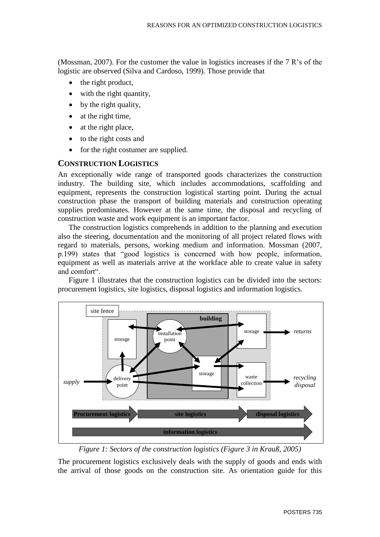(Mossman, 2007). For the customer the value in logistics increases if the 7 R's of the logistic are observed (Silva and Cardoso, 1999). Those provide that

- the right product,
- with the right quantity,
- by the right quality,
- at the right time,
- at the right place,
- to the right costs and
- for the right costumer are supplied.

#### **CONSTRUCTION LOGISTICS**

An exceptionally wide range of transported goods characterizes the construction industry. The building site, which includes accommodations, scaffolding and equipment, represents the construction logistical starting point. During the actual construction phase the transport of building materials and construction operating supplies predominates. However at the same time, the disposal and recycling of construction waste and work equipment is an important factor.

The construction logistics comprehends in addition to the planning and execution also the steering, documentation and the monitoring of all project related flows with regard to materials, persons, working medium and information. Mossman (2007, p.199) states that "good logistics is concerned with how people, information, equipment as well as materials arrive at the workface able to create value in safety and comfort".

Figure 1 illustrates that the construction logistics can be divided into the sectors: procurement logistics, site logistics, disposal logistics and information logistics.



*Figure 1: Sectors of the construction logistics (Figure 3 in Krauß, 2005)*

The procurement logistics exclusively deals with the supply of goods and ends with the arrival of those goods on the construction site. As orientation guide for this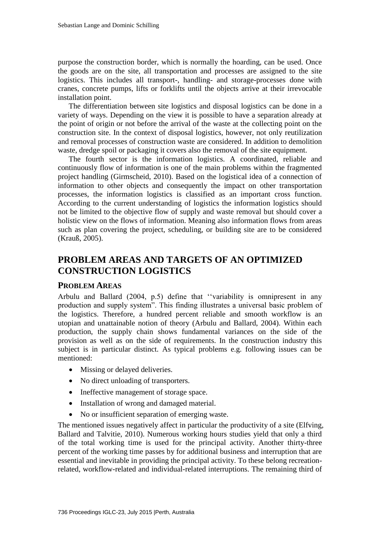purpose the construction border, which is normally the hoarding, can be used. Once the goods are on the site, all transportation and processes are assigned to the site logistics. This includes all transport-, handling- and storage-processes done with cranes, concrete pumps, lifts or forklifts until the objects arrive at their irrevocable installation point.

The differentiation between site logistics and disposal logistics can be done in a variety of ways. Depending on the view it is possible to have a separation already at the point of origin or not before the arrival of the waste at the collecting point on the construction site. In the context of disposal logistics, however, not only reutilization and removal processes of construction waste are considered. In addition to demolition waste, dredge spoil or packaging it covers also the removal of the site equipment.

The fourth sector is the information logistics. A coordinated, reliable and continuously flow of information is one of the main problems within the fragmented project handling (Girmscheid, 2010). Based on the logistical idea of a connection of information to other objects and consequently the impact on other transportation processes, the information logistics is classified as an important cross function. According to the current understanding of logistics the information logistics should not be limited to the objective flow of supply and waste removal but should cover a holistic view on the flows of information. Meaning also information flows from areas such as plan covering the project, scheduling, or building site are to be considered (Krauß, 2005).

## **PROBLEM AREAS AND TARGETS OF AN OPTIMIZED CONSTRUCTION LOGISTICS**

#### **PROBLEM AREAS**

Arbulu and Ballard (2004, p.5) define that ''variability is omnipresent in any production and supply system". This finding illustrates a universal basic problem of the logistics. Therefore, a hundred percent reliable and smooth workflow is an utopian and unattainable notion of theory (Arbulu and Ballard, 2004). Within each production, the supply chain shows fundamental variances on the side of the provision as well as on the side of requirements. In the construction industry this subject is in particular distinct. As typical problems e.g. following issues can be mentioned:

- Missing or delayed deliveries.
- No direct unloading of transporters.
- Ineffective management of storage space.
- Installation of wrong and damaged material.
- No or insufficient separation of emerging waste.

The mentioned issues negatively affect in particular the productivity of a site (Elfving, Ballard and Talvitie, 2010). Numerous working hours studies yield that only a third of the total working time is used for the principal activity. Another thirty-three percent of the working time passes by for additional business and interruption that are essential and inevitable in providing the principal activity. To these belong recreationrelated, workflow-related and individual-related interruptions. The remaining third of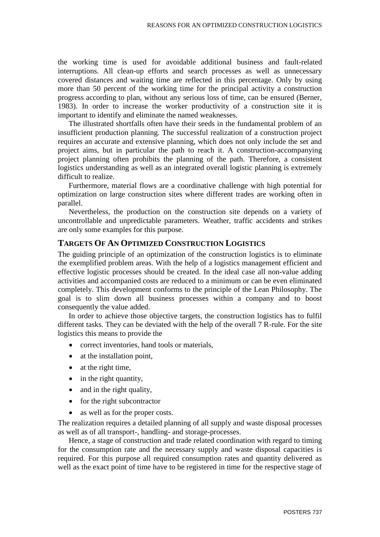the working time is used for avoidable additional business and fault-related interruptions. All clean-up efforts and search processes as well as unnecessary covered distances and waiting time are reflected in this percentage. Only by using more than 50 percent of the working time for the principal activity a construction progress according to plan, without any serious loss of time, can be ensured (Berner, 1983). In order to increase the worker productivity of a construction site it is important to identify and eliminate the named weaknesses.

The illustrated shortfalls often have their seeds in the fundamental problem of an insufficient production planning. The successful realization of a construction project requires an accurate and extensive planning, which does not only include the set and project aims, but in particular the path to reach it. A construction-accompanying project planning often prohibits the planning of the path. Therefore, a consistent logistics understanding as well as an integrated overall logistic planning is extremely difficult to realize.

Furthermore, material flows are a coordinative challenge with high potential for optimization on large construction sites where different trades are working often in parallel.

Nevertheless, the production on the construction site depends on a variety of uncontrollable and unpredictable parameters. Weather, traffic accidents and strikes are only some examples for this purpose.

#### **TARGETS OF AN OPTIMIZED CONSTRUCTION LOGISTICS**

The guiding principle of an optimization of the construction logistics is to eliminate the exemplified problem areas. With the help of a logistics management efficient and effective logistic processes should be created. In the ideal case all non-value adding activities and accompanied costs are reduced to a minimum or can be even eliminated completely. This development conforms to the principle of the Lean Philosophy. The goal is to slim down all business processes within a company and to boost consequently the value added.

In order to achieve those objective targets, the construction logistics has to fulfil different tasks. They can be deviated with the help of the overall 7 R-rule. For the site logistics this means to provide the

- correct inventories, hand tools or materials,
- at the installation point,
- at the right time,
- in the right quantity,
- and in the right quality,
- for the right subcontractor
- as well as for the proper costs.

The realization requires a detailed planning of all supply and waste disposal processes as well as of all transport-, handling- and storage-processes.

Hence, a stage of construction and trade related coordination with regard to timing for the consumption rate and the necessary supply and waste disposal capacities is required. For this purpose all required consumption rates and quantity delivered as well as the exact point of time have to be registered in time for the respective stage of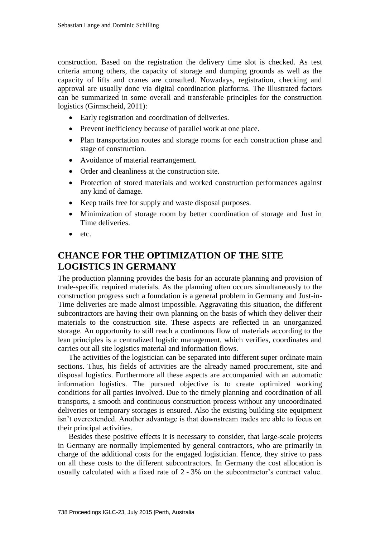construction. Based on the registration the delivery time slot is checked. As test criteria among others, the capacity of storage and dumping grounds as well as the capacity of lifts and cranes are consulted. Nowadays, registration, checking and approval are usually done via digital coordination platforms. The illustrated factors can be summarized in some overall and transferable principles for the construction logistics (Girmscheid, 2011):

- Early registration and coordination of deliveries.
- Prevent inefficiency because of parallel work at one place.
- Plan transportation routes and storage rooms for each construction phase and stage of construction.
- Avoidance of material rearrangement.
- Order and cleanliness at the construction site.
- Protection of stored materials and worked construction performances against any kind of damage.
- Keep trails free for supply and waste disposal purposes.
- Minimization of storage room by better coordination of storage and Just in Time deliveries.
- etc.

# **CHANCE FOR THE OPTIMIZATION OF THE SITE LOGISTICS IN GERMANY**

The production planning provides the basis for an accurate planning and provision of trade-specific required materials. As the planning often occurs simultaneously to the construction progress such a foundation is a general problem in Germany and Just-in-Time deliveries are made almost impossible. Aggravating this situation, the different subcontractors are having their own planning on the basis of which they deliver their materials to the construction site. These aspects are reflected in an unorganized storage. An opportunity to still reach a continuous flow of materials according to the lean principles is a centralized logistic management, which verifies, coordinates and carries out all site logistics material and information flows.

The activities of the logistician can be separated into different super ordinate main sections. Thus, his fields of activities are the already named procurement, site and disposal logistics. Furthermore all these aspects are accompanied with an automatic information logistics. The pursued objective is to create optimized working conditions for all parties involved. Due to the timely planning and coordination of all transports, a smooth and continuous construction process without any uncoordinated deliveries or temporary storages is ensured. Also the existing building site equipment isn't overextended. Another advantage is that downstream trades are able to focus on their principal activities.

Besides these positive effects it is necessary to consider, that large-scale projects in Germany are normally implemented by general contractors, who are primarily in charge of the additional costs for the engaged logistician. Hence, they strive to pass on all these costs to the different subcontractors. In Germany the cost allocation is usually calculated with a fixed rate of 2 - 3% on the subcontractor's contract value.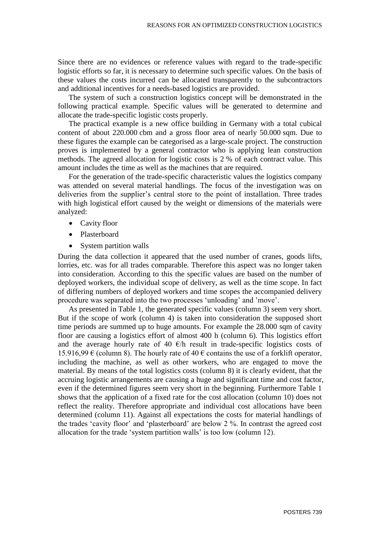Since there are no evidences or reference values with regard to the trade-specific logistic efforts so far, it is necessary to determine such specific values. On the basis of these values the costs incurred can be allocated transparently to the subcontractors and additional incentives for a needs-based logistics are provided.

The system of such a construction logistics concept will be demonstrated in the following practical example. Specific values will be generated to determine and allocate the trade-specific logistic costs properly.

The practical example is a new office building in Germany with a total cubical content of about 220.000 cbm and a gross floor area of nearly 50.000 sqm. Due to these figures the example can be categorised as a large-scale project. The construction proves is implemented by a general contractor who is applying lean construction methods. The agreed allocation for logistic costs is 2 % of each contract value. This amount includes the time as well as the machines that are required.

For the generation of the trade-specific characteristic values the logistics company was attended on several material handlings. The focus of the investigation was on deliveries from the supplier's central store to the point of installation. Three trades with high logistical effort caused by the weight or dimensions of the materials were analyzed:

- Cavity floor
- Plasterboard
- System partition walls

During the data collection it appeared that the used number of cranes, goods lifts, lorries, etc. was for all trades comparable. Therefore this aspect was no longer taken into consideration. According to this the specific values are based on the number of deployed workers, the individual scope of delivery, as well as the time scope. In fact of differing numbers of deployed workers and time scopes the accompanied delivery procedure was separated into the two processes 'unloading' and 'move'.

As presented in Table 1, the generated specific values (column 3) seem very short. But if the scope of work (column 4) is taken into consideration the supposed short time periods are summed up to huge amounts. For example the 28.000 sqm of cavity floor are causing a logistics effort of almost 400 h (column 6). This logistics effort and the average hourly rate of 40  $\epsilon$ /h result in trade-specific logistics costs of 15.916,99  $\epsilon$  (column 8). The hourly rate of 40  $\epsilon$  contains the use of a forklift operator, including the machine, as well as other workers, who are engaged to move the material. By means of the total logistics costs (column 8) it is clearly evident, that the accruing logistic arrangements are causing a huge and significant time and cost factor, even if the determined figures seem very short in the beginning. Furthermore Table 1 shows that the application of a fixed rate for the cost allocation (column 10) does not reflect the reality. Therefore appropriate and individual cost allocations have been determined (column 11). Against all expectations the costs for material handlings of the trades 'cavity floor' and 'plasterboard' are below 2 %. In contrast the agreed cost allocation for the trade 'system partition walls' is too low (column 12).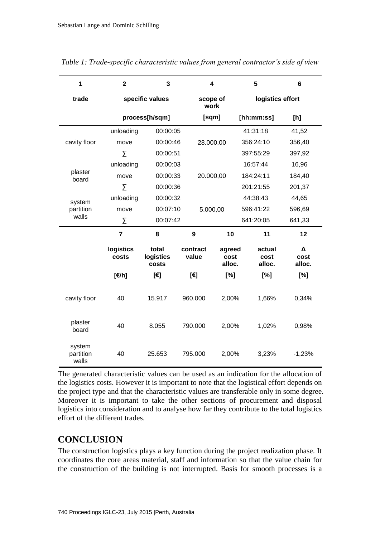| 1                            | $\overline{\mathbf{2}}$ | 3                           | 4                 |                          | 5                        | 6                   |
|------------------------------|-------------------------|-----------------------------|-------------------|--------------------------|--------------------------|---------------------|
| trade                        | specific values         |                             | scope of<br>work  |                          | logistics effort         |                     |
|                              |                         | process[h/sqm]              | [sqm]             |                          | [hh:mm:ss]               | [h]                 |
| cavity floor                 | unloading               | 00:00:05                    |                   |                          | 41:31:18                 | 41,52               |
|                              | move                    | 00:00:46                    | 28.000,00         |                          | 356:24:10                | 356,40              |
|                              | Σ                       | 00:00:51                    |                   |                          | 397:55:29                | 397,92              |
| plaster<br>board             | unloading               | 00:00:03                    |                   |                          | 16:57:44                 | 16,96               |
|                              | move                    | 00:00:33                    | 20.000,00         |                          | 184:24:11                | 184,40              |
|                              | $\sum$                  | 00:00:36                    |                   |                          | 201:21:55                | 201,37              |
| system<br>partition<br>walls | unloading               | 00:00:32                    |                   |                          | 44:38:43                 | 44,65               |
|                              | move                    | 00:07:10                    | 5.000,00          |                          | 596:41:22                | 596,69              |
|                              | Σ                       | 00:07:42                    |                   |                          | 641:20:05                | 641,33              |
|                              | $\overline{7}$          | 8                           | 9                 | 10                       | 11                       | 12                  |
|                              | logistics<br>costs      | total<br>logistics<br>costs | contract<br>value | agreed<br>cost<br>alloc. | actual<br>cost<br>alloc. | Δ<br>cost<br>alloc. |
|                              | [€/h]                   | [€]                         | [€]               | [%]                      | [%]                      | [%]                 |
| cavity floor                 | 40                      | 15.917                      | 960.000           | 2,00%                    | 1,66%                    | 0,34%               |
| plaster<br>board             | 40                      | 8.055                       | 790.000           | 2,00%                    | 1,02%                    | 0,98%               |
| system<br>partition<br>walls | 40                      | 25.653                      | 795.000           | 2,00%                    | 3,23%                    | $-1,23%$            |

*Table 1: Trade-specific characteristic values from general contractor's side of view*

The generated characteristic values can be used as an indication for the allocation of the logistics costs. However it is important to note that the logistical effort depends on the project type and that the characteristic values are transferable only in some degree. Moreover it is important to take the other sections of procurement and disposal logistics into consideration and to analyse how far they contribute to the total logistics effort of the different trades.

### **CONCLUSION**

The construction logistics plays a key function during the project realization phase. It coordinates the core areas material, staff and information so that the value chain for the construction of the building is not interrupted. Basis for smooth processes is a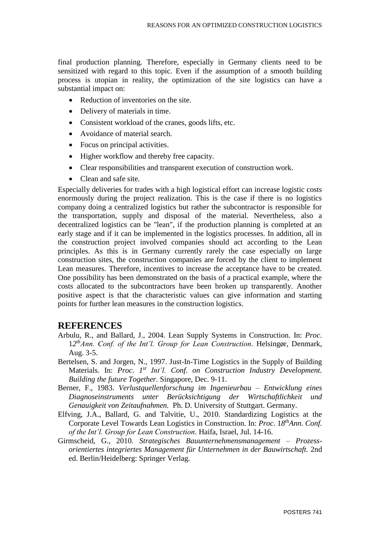final production planning. Therefore, especially in Germany clients need to be sensitized with regard to this topic. Even if the assumption of a smooth building process is utopian in reality, the optimization of the site logistics can have a substantial impact on:

- Reduction of inventories on the site.
- Delivery of materials in time.
- Consistent workload of the cranes, goods lifts, etc.
- Avoidance of material search.
- Focus on principal activities.
- Higher workflow and thereby free capacity.
- Clear responsibilities and transparent execution of construction work.
- Clean and safe site.

Especially deliveries for trades with a high logistical effort can increase logistic costs enormously during the project realization. This is the case if there is no logistics company doing a centralized logistics but rather the subcontractor is responsible for the transportation, supply and disposal of the material. Nevertheless, also a decentralized logistics can be "lean", if the production planning is completed at an early stage and if it can be implemented in the logistics processes. In addition, all in the construction project involved companies should act according to the Lean principles. As this is in Germany currently rarely the case especially on large construction sites, the construction companies are forced by the client to implement Lean measures. Therefore, incentives to increase the acceptance have to be created. One possibility has been demonstrated on the basis of a practical example, where the costs allocated to the subcontractors have been broken up transparently. Another positive aspect is that the characteristic values can give information and starting points for further lean measures in the construction logistics.

#### **REFERENCES**

- Arbulu, R., and Ballard, J., 2004. Lean Supply Systems in Construction. In: *Proc*. 1*2 thAnn. Conf. of the Int'l. Group for Lean Construction*. Helsingør, Denmark, Aug. 3-5.
- Bertelsen, S. and Jorgen, N., 1997. Just-In-Time Logistics in the Supply of Building Materials. In: *Proc. 1<sup>st</sup> Int'l. Conf. on Construction Industry Development. Building the future Together.* Singapore, Dec. 9-11.
- Berner, F., 1983. *Verlustquellenforschung im Ingenieurbau – Entwicklung eines Diagnoseinstruments unter Berücksichtigung der Wirtschaftlichkeit und Genauigkeit von Zeitaufnahmen.* Ph. D. University of Stuttgart. Germany.
- Elfving, J.A., Ballard, G. and Talvitie, U., 2010. Standardizing Logistics at the Corporate Level Towards Lean Logistics in Construction. In: *Proc*. 1*8 thAnn. Conf. of the Int'l. Group for Lean Construction*. Haifa, Israel, Jul. 14-16.
- Girmscheid, G., 2010. *Strategisches Bauunternehmensmanagement – Prozessorientiertes integriertes Management für Unternehmen in der Bauwirtschaft.* 2nd ed. Berlin/Heidelberg: Springer Verlag.